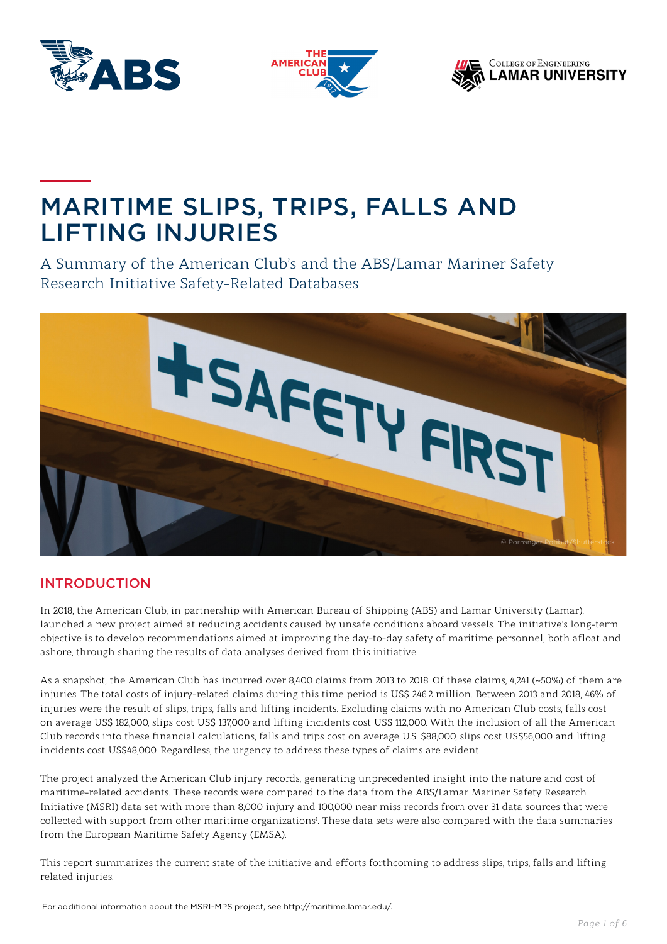





# MARITIME SLIPS, TRIPS, FALLS AND LIFTING INJURIES

A Summary of the American Club's and the ABS/Lamar Mariner Safety Research Initiative Safety-Related Databases



## INTRODUCTION

In 2018, the American Club, in partnership with American Bureau of Shipping (ABS) and Lamar University (Lamar), launched a new project aimed at reducing accidents caused by unsafe conditions aboard vessels. The initiative's long-term objective is to develop recommendations aimed at improving the day-to-day safety of maritime personnel, both afloat and ashore, through sharing the results of data analyses derived from this initiative.

As a snapshot, the American Club has incurred over 8,400 claims from 2013 to 2018. Of these claims, 4,241 (~50%) of them are injuries. The total costs of injury-related claims during this time period is US\$ 246.2 million. Between 2013 and 2018, 46% of injuries were the result of slips, trips, falls and lifting incidents. Excluding claims with no American Club costs, falls cost on average US\$ 182,000, slips cost US\$ 137,000 and lifting incidents cost US\$ 112,000. With the inclusion of all the American Club records into these financial calculations, falls and trips cost on average U.S. \$88,000, slips cost US\$56,000 and lifting incidents cost US\$48,000. Regardless, the urgency to address these types of claims are evident.

The project analyzed the American Club injury records, generating unprecedented insight into the nature and cost of maritime-related accidents. These records were compared to the data from the ABS/Lamar Mariner Safety Research Initiative (MSRI) data set with more than 8,000 injury and 100,000 near miss records from over 31 data sources that were collected with support from other maritime organizations<sup>1</sup>. These data sets were also compared with the data summaries from the European Maritime Safety Agency (EMSA).

This report summarizes the current state of the initiative and efforts forthcoming to address slips, trips, falls and lifting related injuries.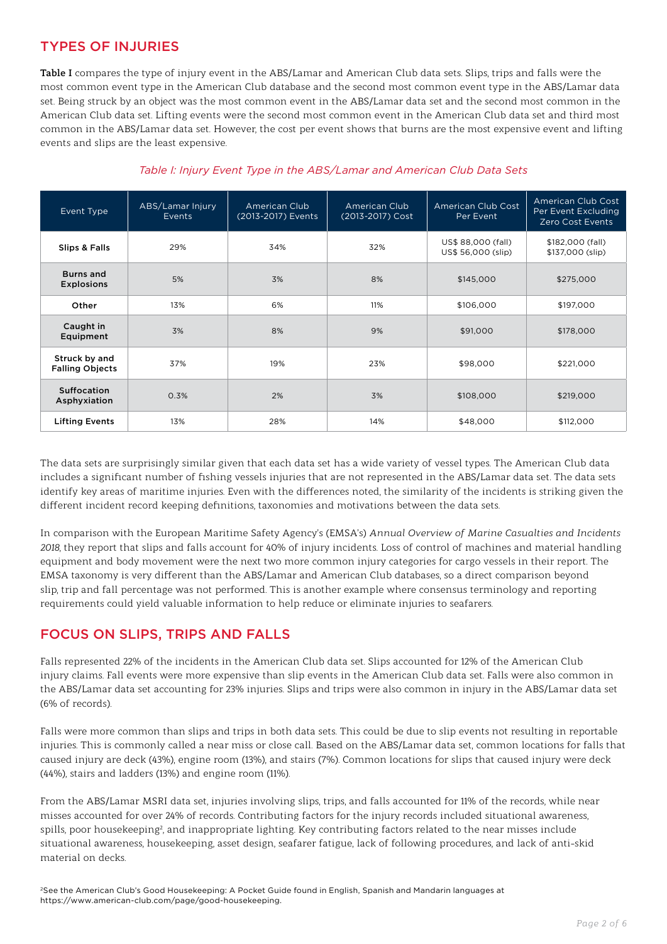## TYPES OF INJURIES

**Table I** compares the type of injury event in the ABS/Lamar and American Club data sets. Slips, trips and falls were the most common event type in the American Club database and the second most common event type in the ABS/Lamar data set. Being struck by an object was the most common event in the ABS/Lamar data set and the second most common in the American Club data set. Lifting events were the second most common event in the American Club data set and third most common in the ABS/Lamar data set. However, the cost per event shows that burns are the most expensive event and lifting events and slips are the least expensive.

| Event Type                              | ABS/Lamar Injury<br>Events | <b>American Club</b><br>(2013-2017) Events | American Club<br>(2013-2017) Cost | American Club Cost<br>Per Event          | American Club Cost<br>Per Event Excluding<br>Zero Cost Events |
|-----------------------------------------|----------------------------|--------------------------------------------|-----------------------------------|------------------------------------------|---------------------------------------------------------------|
| Slips & Falls                           | 29%                        | 34%                                        | 32%                               | US\$ 88,000 (fall)<br>US\$ 56,000 (slip) | \$182,000 (fall)<br>\$137,000 (slip)                          |
| <b>Burns and</b><br><b>Explosions</b>   | 5%                         | 3%                                         | 8%                                | \$145,000                                | \$275,000                                                     |
| Other                                   | 13%                        | 6%                                         | 11%                               | \$106,000                                | \$197,000                                                     |
| Caught in<br>Equipment                  | 3%                         | 8%                                         | 9%                                | \$91,000                                 | \$178,000                                                     |
| Struck by and<br><b>Falling Objects</b> | 37%                        | 19%                                        | 23%                               | \$98,000                                 | \$221,000                                                     |
| Suffocation<br>Asphyxiation             | 0.3%                       | 2%                                         | 3%                                | \$108,000                                | \$219,000                                                     |
| <b>Lifting Events</b>                   | 13%                        | 28%                                        | 14%                               | \$48,000                                 | \$112,000                                                     |

#### *Table I: Injury Event Type in the ABS/Lamar and American Club Data Sets*

The data sets are surprisingly similar given that each data set has a wide variety of vessel types. The American Club data includes a significant number of fishing vessels injuries that are not represented in the ABS/Lamar data set. The data sets identify key areas of maritime injuries. Even with the differences noted, the similarity of the incidents is striking given the different incident record keeping definitions, taxonomies and motivations between the data sets.

In comparison with the European Maritime Safety Agency's (EMSA's) *Annual Overview of Marine Casualties and Incidents 2018*, they report that slips and falls account for 40% of injury incidents. Loss of control of machines and material handling equipment and body movement were the next two more common injury categories for cargo vessels in their report. The EMSA taxonomy is very different than the ABS/Lamar and American Club databases, so a direct comparison beyond slip, trip and fall percentage was not performed. This is another example where consensus terminology and reporting requirements could yield valuable information to help reduce or eliminate injuries to seafarers.

## FOCUS ON SLIPS, TRIPS AND FALLS

Falls represented 22% of the incidents in the American Club data set. Slips accounted for 12% of the American Club injury claims. Fall events were more expensive than slip events in the American Club data set. Falls were also common in the ABS/Lamar data set accounting for 23% injuries. Slips and trips were also common in injury in the ABS/Lamar data set (6% of records).

Falls were more common than slips and trips in both data sets. This could be due to slip events not resulting in reportable injuries. This is commonly called a near miss or close call. Based on the ABS/Lamar data set, common locations for falls that caused injury are deck (43%), engine room (13%), and stairs (7%). Common locations for slips that caused injury were deck (44%), stairs and ladders (13%) and engine room (11%).

From the ABS/Lamar MSRI data set, injuries involving slips, trips, and falls accounted for 11% of the records, while near misses accounted for over 24% of records. Contributing factors for the injury records included situational awareness, spills, poor housekeeping<sup>2</sup>, and inappropriate lighting. Key contributing factors related to the near misses include situational awareness, housekeeping, asset design, seafarer fatigue, lack of following procedures, and lack of anti-skid material on decks.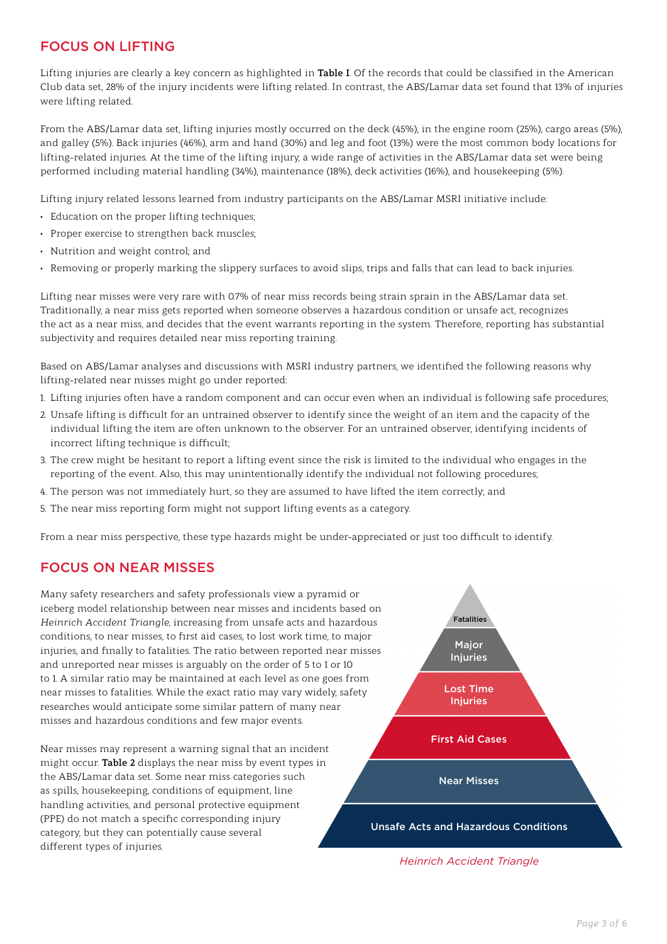## FOCUS ON LIFTING

Lifting injuries are clearly a key concern as highlighted in **Table I**. Of the records that could be classified in the American Club data set, 28% of the injury incidents were lifting related. In contrast, the ABS/Lamar data set found that 13% of injuries were lifting related.

From the ABS/Lamar data set, lifting injuries mostly occurred on the deck (45%), in the engine room (25%), cargo areas (5%), and galley (5%). Back injuries (46%), arm and hand (30%) and leg and foot (13%) were the most common body locations for lifting-related injuries. At the time of the lifting injury, a wide range of activities in the ABS/Lamar data set were being performed including material handling (34%), maintenance (18%), deck activities (16%), and housekeeping (5%).

Lifting injury related lessons learned from industry participants on the ABS/Lamar MSRI initiative include:

- Education on the proper lifting techniques;
- Proper exercise to strengthen back muscles;
- Nutrition and weight control; and
- Removing or properly marking the slippery surfaces to avoid slips, trips and falls that can lead to back injuries.

Lifting near misses were very rare with 0.7% of near miss records being strain sprain in the ABS/Lamar data set. Traditionally, a near miss gets reported when someone observes a hazardous condition or unsafe act, recognizes the act as a near miss, and decides that the event warrants reporting in the system. Therefore, reporting has substantial subjectivity and requires detailed near miss reporting training.

Based on ABS/Lamar analyses and discussions with MSRI industry partners, we identified the following reasons why lifting-related near misses might go under reported:

- 1. Lifting injuries often have a random component and can occur even when an individual is following safe procedures;
- 2. Unsafe lifting is difficult for an untrained observer to identify since the weight of an item and the capacity of the individual lifting the item are often unknown to the observer. For an untrained observer, identifying incidents of incorrect lifting technique is difficult;
- 3. The crew might be hesitant to report a lifting event since the risk is limited to the individual who engages in the reporting of the event. Also, this may unintentionally identify the individual not following procedures;
- 4. The person was not immediately hurt, so they are assumed to have lifted the item correctly; and
- 5. The near miss reporting form might not support lifting events as a category.

From a near miss perspective, these type hazards might be under-appreciated or just too difficult to identify.

#### FOCUS ON NEAR MISSES

Many safety researchers and safety professionals view a pyramid or iceberg model relationship between near misses and incidents based on *Heinrich Accident Triangle*, increasing from unsafe acts and hazardous conditions, to near misses, to first aid cases, to lost work time, to major injuries, and finally to fatalities. The ratio between reported near misses and unreported near misses is arguably on the order of 5 to 1 or 10 to 1. A similar ratio may be maintained at each level as one goes from near misses to fatalities. While the exact ratio may vary widely, safety researches would anticipate some similar pattern of many near misses and hazardous conditions and few major events.

Near misses may represent a warning signal that an incident might occur. **Table 2** displays the near miss by event types in the ABS/Lamar data set. Some near miss categories such as spills, housekeeping, conditions of equipment, line handling activities, and personal protective equipment (PPE) do not match a specific corresponding injury category, but they can potentially cause several different types of injuries.



*Heinrich Accident Triangle*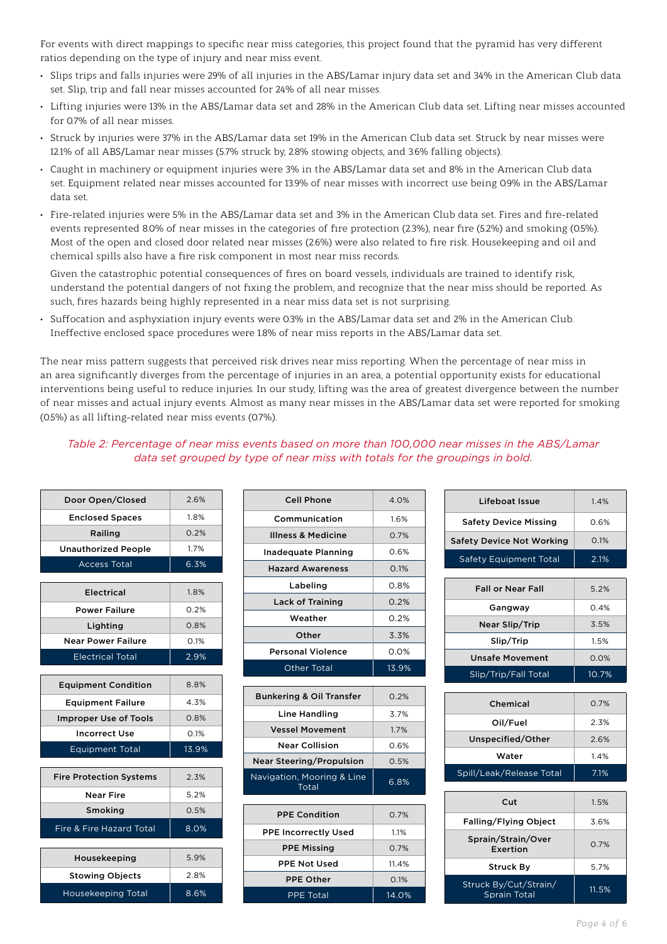For events with direct mappings to specific near miss categories, this project found that the pyramid has very different ratios depending on the type of injury and near miss event.

- Slips trips and falls injuries were 29% of all injuries in the ABS/Lamar injury data set and 34% in the American Club data set. Slip, trip and fall near misses accounted for 24% of all near misses.
- Lifting injuries were 13% in the ABS/Lamar data set and 28% in the American Club data set. Lifting near misses accounted for 0.7% of all near misses.
- Struck by injuries were 37% in the ABS/Lamar data set 19% in the American Club data set. Struck by near misses were 12.1% of all ABS/Lamar near misses (5.7% struck by, 2.8% stowing objects, and 3.6% falling objects).
- Caught in machinery or equipment injuries were 3% in the ABS/Lamar data set and 8% in the American Club data set. Equipment related near misses accounted for 13.9% of near misses with incorrect use being 0.9% in the ABS/Lamar data set.
- Fire-related injuries were 5% in the ABS/Lamar data set and 3% in the American Club data set. Fires and fire-related events represented 8.0% of near misses in the categories of fire protection (2.3%), near fire (5.2%) and smoking (0.5%). Most of the open and closed door related near misses (2.6%) were also related to fire risk. Housekeeping and oil and chemical spills also have a fire risk component in most near miss records.

Given the catastrophic potential consequences of fires on board vessels, individuals are trained to identify risk, understand the potential dangers of not fixing the problem, and recognize that the near miss should be reported. As such, fires hazards being highly represented in a near miss data set is not surprising.

• Suffocation and asphyxiation injury events were 0.3% in the ABS/Lamar data set and 2% in the American Club. Ineffective enclosed space procedures were 1.8% of near miss reports in the ABS/Lamar data set.

The near miss pattern suggests that perceived risk drives near miss reporting. When the percentage of near miss in an area significantly diverges from the percentage of injuries in an area, a potential opportunity exists for educational interventions being useful to reduce injuries. In our study, lifting was the area of greatest divergence between the number of near misses and actual injury events. Almost as many near misses in the ABS/Lamar data set were reported for smoking (0.5%) as all lifting-related near miss events (0.7%).

#### *Table 2: Percentage of near miss events based on more than 100,000 near misses in the ABS/Lamar data set grouped by type of near miss with totals for the groupings in bold.*

| Door Open/Closed               | 26%   |
|--------------------------------|-------|
| <b>Enclosed Spaces</b>         | 1.8%  |
| Railing                        | 0.2%  |
| <b>Unauthorized People</b>     | 1.7%  |
| <b>Access Total</b>            | 6.3%  |
| Electrical                     | 18%   |
| <b>Power Failure</b>           | 0.2%  |
| Lighting                       | 0.8%  |
| <b>Near Power Failure</b>      | 0.1%  |
| <b>Electrical Total</b>        | 2.9%  |
|                                |       |
| <b>Equipment Condition</b>     | 8.8%  |
| <b>Equipment Failure</b>       | 4.3%  |
| <b>Improper Use of Tools</b>   | 0.8%  |
| Incorrect Use                  | 0.1%  |
| <b>Equipment Total</b>         | 13.9% |
|                                |       |
| <b>Fire Protection Systems</b> | 2.3%  |
| Near Fire                      | 5.2%  |
| Smoking                        | 0.5%  |
| Fire & Fire Hazard Total       | 8.0%  |
|                                |       |
| Housekeeping                   | 5.9%  |
| <b>Stowing Objects</b>         | 2.8%  |
| Housekeeping Total             | 8.6%  |

| <b>Cell Phone</b>        | 4.0%        |
|--------------------------|-------------|
| Communication            | 1.6%        |
| Illness & Medicine       | 0.7%        |
| Inadequate Planning      | 0.6%        |
| <b>Hazard Awareness</b>  | 0.1%        |
| Labeling                 | 0.8%        |
| <b>Lack of Training</b>  | 0.2%        |
| Weather                  | <u>በ 2%</u> |
| Other                    | 3.3%        |
| <b>Personal Violence</b> | $0.0\%$     |
| <b>Other Total</b>       | 13.9%       |
|                          |             |

| <b>Bunkering &amp; Oil Transfer</b> | $0.2\%$ |
|-------------------------------------|---------|
| Line Handling                       | 3.7%    |
| <b>Vessel Movement</b>              | 17%     |
| <b>Near Collision</b>               | 0.6%    |
| <b>Near Steering/Propulsion</b>     | 0.5%    |
| Navigation, Mooring & Line<br>Total | 6.8%    |

| <b>PPF Condition</b>        | 0.7%    |
|-----------------------------|---------|
| <b>PPE Incorrectly Used</b> | 11%     |
| <b>PPE Missing</b>          | $0.7\%$ |
| <b>PPE Not Used</b>         | 11.4%   |
| <b>PPE Other</b>            | 0.1%    |
| <b>PPE Total</b>            | 14.0%   |
|                             |         |

| Lifeboat Issue                               | 1.4%  |
|----------------------------------------------|-------|
| <b>Safety Device Missing</b>                 | 0.6%  |
| <b>Safety Device Not Working</b>             | 0.1%  |
| <b>Safety Equipment Total</b>                | 2.1%  |
|                                              |       |
| <b>Fall or Near Fall</b>                     | 5.2%  |
| Gangway                                      | 0.4%  |
| Near Slip/Trip                               | 3.5%  |
| Slip/Trip                                    | 1.5%  |
| <b>Unsafe Movement</b>                       | 0.0%  |
| Slip/Trip/Fall Total                         | 10.7% |
|                                              |       |
| Chemical                                     | 0.7%  |
| Oil/Fuel                                     | 2.3%  |
| Unspecified/Other                            | 26%   |
| Water                                        | 1.4%  |
| Spill/Leak/Release Total                     | 7.1%  |
|                                              |       |
| Cut                                          | 1.5%  |
| <b>Falling/Flying Object</b>                 | 3.6%  |
| Sprain/Strain/Over<br>Exertion               | 0.7%  |
| <b>Struck By</b>                             | 5.7%  |
| Struck By/Cut/Strain/<br><b>Sprain Total</b> | 11.5% |
|                                              |       |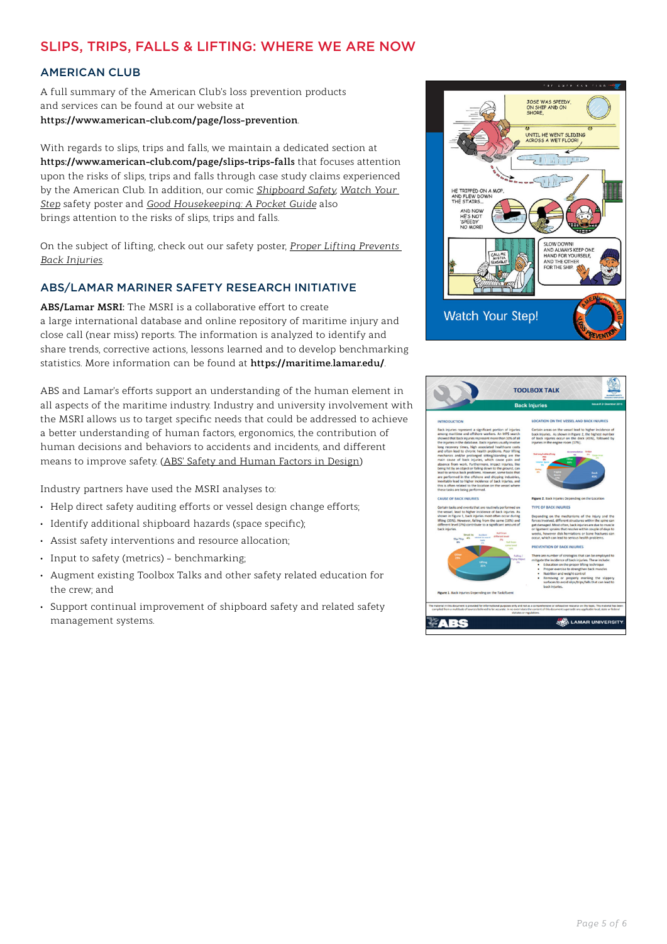## SLIPS, TRIPS, FALLS & LIFTING: WHERE WE ARE NOW

#### AMERICAN CLUB

A full summary of the American Club's loss prevention products and services can be found at our website at **https://www.american-club.com/page/loss-prevention**.

With regards to slips, trips and falls, we maintain a dedicated section at **https://www.american-club.com/page/slips-trips-falls** that focuses attention upon the risks of slips, trips and falls through case study claims experienced by the American Club. In addition, our comic *[Shipboard Safety,](https://www.american-club.com/files/files/Shipboard_Safety.pdf) [Watch Your](https://www.american-club.com/files/images/poster_2.jpg)  [Step](https://www.american-club.com/files/images/poster_2.jpg)* safety poster and *[Good Housekeeping: A Pocket Guide](https://www.american-club.com/files/files/Good_Housekeeping_english.pdf)* also brings attention to the risks of slips, trips and falls.

On the subject of lifting, check out our safety poster, *[Proper Lifting Prevents](https://www.american-club.com/files/images/poster_4.jpg)  [Back Injuries](https://www.american-club.com/files/images/poster_4.jpg)*.

#### ABS/LAMAR MARINER SAFETY RESEARCH INITIATIVE

**ABS/Lamar MSRI:** The MSRI is a collaborative effort to create a large international database and online repository of maritime injury and close call (near miss) reports. The information is analyzed to identify and share trends, corrective actions, lessons learned and to develop benchmarking statistics. More information can be found at **https://maritime.lamar.edu/**.

ABS and Lamar's efforts support an understanding of the human element in all aspects of the maritime industry. Industry and university involvement with the MSRI allows us to target specific needs that could be addressed to achieve a better understanding of human factors, ergonomics, the contribution of human decisions and behaviors to accidents and incidents, and different means to improve safety. [\(ABS' Safety and Human Factors in Design\)](https://ww2.eagle.org/en/innovation-and-technology/safety-human-factors-in-design.html)

Industry partners have used the MSRI analyses to:

- Help direct safety auditing efforts or vessel design change efforts;
- Identify additional shipboard hazards (space specific);
- Assist safety interventions and resource allocation;
- Input to safety (metrics) benchmarking;
- Augment existing Toolbox Talks and other safety related education for the crew; and
- Support continual improvement of shipboard safety and related safety management systems.



|                                                                                                                                                                                                                                                                                                                                                                                                                                                                                                                                                                                                                                                                                                                                                                                                                                                                                      | Issue # 2- Deember 2015<br><b>Back Injuries</b>                                                                                                                                                                                                                                                                                                                                                                                                                                                                                                                                                                                                                       |  |  |
|--------------------------------------------------------------------------------------------------------------------------------------------------------------------------------------------------------------------------------------------------------------------------------------------------------------------------------------------------------------------------------------------------------------------------------------------------------------------------------------------------------------------------------------------------------------------------------------------------------------------------------------------------------------------------------------------------------------------------------------------------------------------------------------------------------------------------------------------------------------------------------------|-----------------------------------------------------------------------------------------------------------------------------------------------------------------------------------------------------------------------------------------------------------------------------------------------------------------------------------------------------------------------------------------------------------------------------------------------------------------------------------------------------------------------------------------------------------------------------------------------------------------------------------------------------------------------|--|--|
|                                                                                                                                                                                                                                                                                                                                                                                                                                                                                                                                                                                                                                                                                                                                                                                                                                                                                      |                                                                                                                                                                                                                                                                                                                                                                                                                                                                                                                                                                                                                                                                       |  |  |
| <b>INTRODUCTION</b>                                                                                                                                                                                                                                                                                                                                                                                                                                                                                                                                                                                                                                                                                                                                                                                                                                                                  | <b>LOCATION ON THE VESSEL AND BACK INJURIES</b>                                                                                                                                                                                                                                                                                                                                                                                                                                                                                                                                                                                                                       |  |  |
| Back injuries represent a significant portion of injuries<br>among maritime and offshore workers. An MPS search<br>showed that back injuries represent more than 10% of all<br>the injuries in the database. Back injuries usually involve<br>long recovery times, high associated healthcare costs.<br>and often lead to chronic health problems. Poor lifting<br>mechanics and/or prolonged sitting/standing are the<br>main cause of back injuries, which cause pain and<br>absence from work. Furthermore, Impact Injuries, like<br>being hit by an object or falling down to the ground, can<br>lead to serious back problems. However, some tasks that<br>are performed in the offshore and shipping industries,<br>inevitably lead to higher incidence of back injuries, and<br>this is often related to the location on the vessel where<br>these tasks are being performed. | Certain areas on the vessel lead to higher incidence of<br>back injuries. As shown in Figure 2, the highest number<br>of back injuries occur on the deck (45%), followed by<br>injuries in the engine room (17%).<br><b>Brid</b><br>Accommodation<br>$\overline{15}$<br>$\overline{\phantom{a}}$<br><b>Siege Are</b><br><b>SSN</b><br>Deck<br>45%                                                                                                                                                                                                                                                                                                                     |  |  |
| <b>CAUSE OF BACK INJURIES</b>                                                                                                                                                                                                                                                                                                                                                                                                                                                                                                                                                                                                                                                                                                                                                                                                                                                        | Figure 2. Back Injuries Depending on the Location                                                                                                                                                                                                                                                                                                                                                                                                                                                                                                                                                                                                                     |  |  |
| Certain tasks and events that are routinely performed on<br>the vessel, lead to higher incidence of back injuries. As<br>shown in Figure 1, back injuries most often occur during<br>lifting (35%), However, falling from the same (16%) and<br>different level (7%) contribute to a significant amount of<br>back injuries.<br>Fall from<br>Struck by<br>Auditoria<br>different level<br><b><i><u><u><b>Ind ho must off</b></u></u></i></b><br><b>AN</b><br>Slig/Trip<br>$\overline{\phantom{a}}$<br><b>Service</b><br><b>Full Science</b><br><b>AN</b><br><b>IN</b><br><b>Lome level</b><br>16%<br>Other<br>falling /<br><b>Ving Ohimit</b><br><b>Call Card</b><br>$^{16}$<br>25%                                                                                                                                                                                                  | <b>TYPE OF BACK INJURIES</b><br>Depending on the mechanisms of the injury and the<br>forces involved, different structures within the soine can<br>get damaged. Most often, back injuries are due to muscle<br>or ligament sprains that resolve within couple of days to<br>weeks, however disk hernlations or bone fractures can<br>occur, which can lead to serious health problems.<br>PREVENTION OF BACK INJURIES<br>There are number of strategies that can be employed to<br>mitigate the incidence of back injuries. These include:<br>Education on the proper lifting technique<br>Proper exercise to strengthen back muscles<br>Nutrition and weight control |  |  |
| Figure 1. Back Injuries Depending on the Task/Event                                                                                                                                                                                                                                                                                                                                                                                                                                                                                                                                                                                                                                                                                                                                                                                                                                  | Removing or properly marking the slippery<br>surfaces to avoid slips/trips/falls that can lead to<br>back Injuries.<br>The material in this document is provided for informational purposes only and not as a comprehensive or exhaustive resource on this topic. This material has been<br>compiled from a multitude of sources believed to be accurate, in no event does the content of this document supersede any applicable local, state or federal                                                                                                                                                                                                              |  |  |